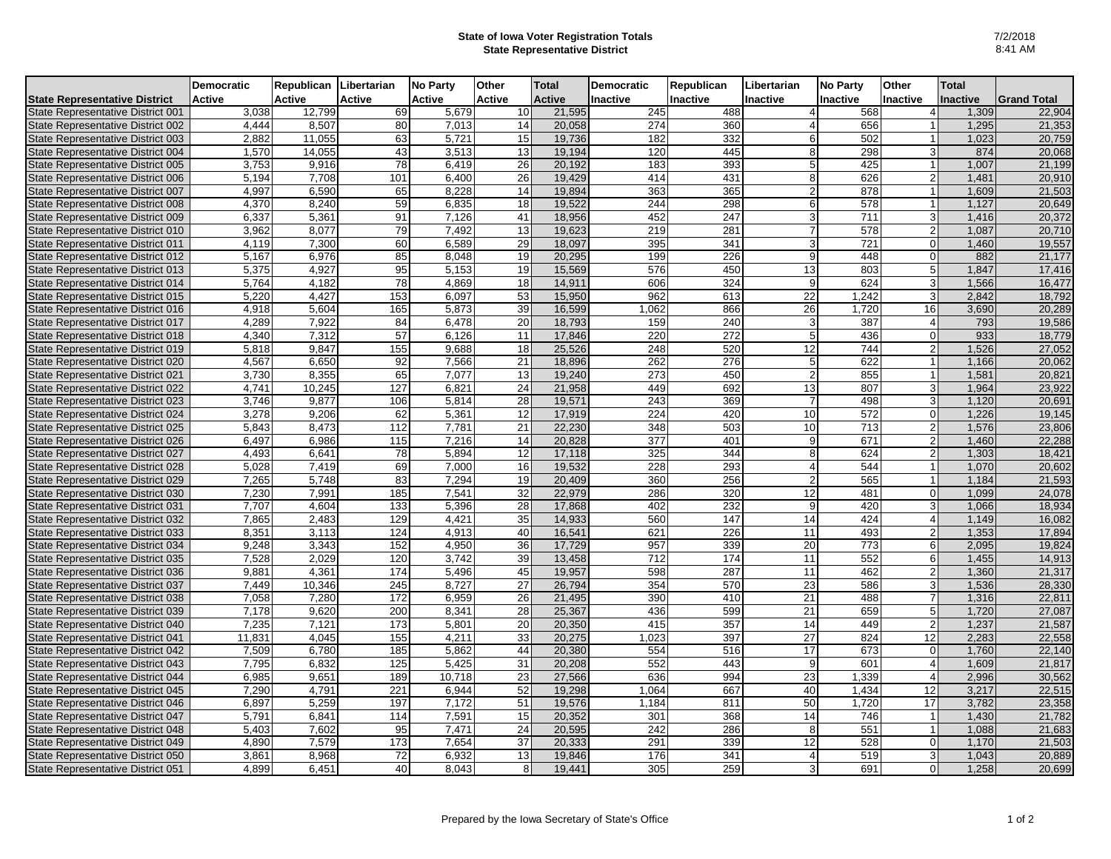## **State of Iowa Voter Registration Totals State Representative District**

| <b>Active</b><br>Active<br>Active<br>Active<br>Active<br><b>Active</b><br>Inactive<br>Inactive<br>Inactive<br>Inactive<br>Inactive<br><b>Inactive</b><br><b>Grand Total</b><br>21,595<br>12,799<br>69<br>5,679<br>10<br>245<br>488<br>568<br>3,038<br>1,309<br>$\overline{4}$<br>8,507<br>14<br>20,058<br>274<br>360<br>656<br>1,295<br>4,444<br>80<br>7,013<br>4 <sup>1</sup><br>63<br>182<br>2,882<br>11,055<br>5,721<br>15<br>19,736<br>332<br>6 <sup>1</sup><br>502<br>1,023<br>43<br>14,055<br>3,513<br>13<br>19,194<br>120<br>445<br>8 <sup>1</sup><br>298<br>3<br>874<br>1,570<br>78<br>26<br>20.192<br>183<br>393<br>425<br>1.007<br>3,753<br>9,916<br>6.419<br>5 <sup>1</sup><br>101<br>414<br>6,400<br>26<br>19,429<br>431<br>626<br>$\overline{2}$<br>5,194<br>7,708<br>8 <sup>1</sup><br>1,481<br>6,590<br>363<br>4,997<br>65<br>8.228<br>14<br>19,894<br>365<br>878<br>1,609<br>$\overline{2}$<br>59<br>19,522<br>244<br>4,370<br>8,240<br>6,835<br>18<br>298<br>578<br>1,127<br>6<br>5,361<br>91<br>7.126<br>18,956<br>452<br>247<br>3<br>711<br>3<br>6,337<br>41<br>1,416<br>8,077<br>79<br>7,492<br>13<br>19,623<br>219<br>281<br>578<br>$\mathsf{2}$<br>1,087<br>3,962<br>$\overline{7}$<br>60<br>6.589<br>29<br>18,097<br>395<br>341<br>721<br>$\Omega$<br>4,119<br>7.300<br>3 <sup>1</sup><br>1,460<br>6,976<br>85<br>8,048<br>19<br>20,295<br>199<br>226<br>448<br>$\overline{0}$<br>882<br>5,167<br>9 <sup>1</sup><br>95<br>5,153<br>15,569<br>576<br>450<br>13<br>803<br>1,847<br>5,375<br>4,927<br>19<br>5 <sub>l</sub><br>$\overline{78}$<br>606<br>324<br>624<br>5,764<br>4,182<br>4,869<br>18<br>14,911<br>9<br>1,566<br>153<br>53<br>15,950<br>962<br>22<br>1,242<br>5,220<br>4.427<br>6.097<br>613<br>$\overline{3}$<br>2.842<br>16<br>5,604<br>165<br>5.873<br>39<br>16,599<br>1,062<br>866<br>26<br>3,690<br>4,918<br>1,720<br>7,922<br>84<br>6,478<br>20<br>18,793<br>159<br>240<br>387<br>4,289<br>3<br>4<br>793<br>$\overline{57}$<br>220<br>4,340<br>7,312<br>6,126<br>11<br>17,846<br>272<br>5 <sup>1</sup><br>436<br>933<br>$\Omega$<br>744<br>9,847<br>155<br>9,688<br>18<br>25,526<br>248<br>520<br>12<br>1,526<br>5,818<br>21<br>262<br>276<br>622<br>4,567<br>6,650<br>92<br>7,566<br>18,896<br>5 <sub>5</sub><br>1,166<br>65<br>13<br>19,240<br>273<br>450<br>855<br>3,730<br>8,355<br>7,077<br>2 <sub>l</sub><br>1,581<br>127<br>24<br>21,958<br>449<br>692<br>807<br>4,741<br>10,245<br>6,821<br>13<br>3<br>1,964<br>9,877<br>106<br>5,814<br>28<br>19,571<br>243<br>369<br>498<br>3,746<br>$\overline{7}$<br>3<br>1,120<br>62<br>5,361<br>17,919<br>224<br>420<br>10<br>572<br>1,226<br>3,278<br>9,206<br>12<br>0<br>5,843<br>8,473<br>112<br>7,781<br>21<br>22,230<br>348<br>503<br>10<br>713<br>$\mathcal{P}$<br>1,576<br>6,497<br>6.986<br>115<br>7.216<br>14<br>20,828<br>377<br>401<br>9 <sub>l</sub><br>671<br>$\overline{2}$<br>1,460<br>78<br>5,894<br>12<br>17,118<br>325<br>344<br>624<br>4,493<br>6,641<br>8 <sup>1</sup><br>$\overline{2}$<br>1,303<br>69<br>19.532<br>228<br>293<br>544<br>5,028<br>7,419<br>7.000<br>16<br>1.070<br>$\overline{4}$<br>83<br>5,748<br>7,294<br>19<br>20,409<br>360<br>256<br>565<br>7,265<br>1,184<br>7,991<br>185<br>7.541<br>32<br>22,979<br>286<br>320<br>12<br><sup>0</sup><br>1,099<br>7,230<br>481<br>7,707<br>4.604<br>133<br>5,396<br>28<br>17,868<br>402<br>232<br>9<br>420<br>3l<br>1,066<br>129<br>35<br>14,933<br>560<br>147<br>424<br>7,865<br>2,483<br>4,421<br>14<br>$\overline{4}$<br>1,149<br>621<br>226<br>8,351<br>3,113<br>124<br>4,913<br>40<br>16,541<br>11<br>493<br>$\mathsf{2}$<br>1,353<br>152<br>4,950<br>36<br>17,729<br>957<br>339<br>20<br>773<br>$6 \mid$<br>9,248<br>3,343<br>2,095<br>712<br>552<br>61<br>7,528<br>2,029<br>120<br>3,742<br>39<br>13,458<br>174<br>11<br>1,455<br>287<br>4,361<br>174<br>5,496<br>45<br>19,957<br>598<br>11<br>462<br>2 <sup>1</sup><br>1,360<br>9,881<br>245<br>8,727<br>27<br>26,794<br>354<br>570<br>23<br>586<br>7,449<br>10,346<br>3l<br>1,536<br>7,058<br>7,280<br>172<br>6,959<br>26<br>21,495<br>390<br>410<br>21<br>488<br>$\overline{7}$<br>1,316<br>599<br>5 <sub>1</sub><br>7,178<br>9,620<br>200<br>8,341<br>28<br>25,367<br>436<br>21<br>659<br>1,720<br>173<br>415<br>$\mathsf{2}\mathsf{l}$<br>7,235<br>7,121<br>5,801<br>20<br>20,350<br>357<br>14<br>449<br>1,237<br>$\overline{27}$<br>11,831<br>4,045<br>155<br>4,211<br>33<br>20,275<br>1,023<br>397<br>824<br>12<br>2,283<br>6,780<br>185<br>5,862<br>44<br>20,380<br>554<br>516<br>17<br>673<br>$\overline{0}$<br>1,760<br>7,509<br>552<br>7,795<br>6,832<br>125<br>5,425<br>31<br>20,208<br>443<br>9<br>601<br>1,609<br>4<br>189<br>23<br>27,566<br>636<br>994<br>23<br>1,339<br>2,996<br>6,985<br>9,651<br>10,718<br>7,290<br>$\overline{221}$<br>6,944<br>52<br>19,298<br>1,064<br>667<br>40<br>1,434<br>$\overline{12}$<br>3,217<br>4,791<br>5,259<br>197<br>7,172<br>51<br>19,576<br>1,184<br>811<br>50<br>1,720<br>17<br>3,782<br>6,897<br>7,591<br>15<br>20,352<br>368<br>5,791<br>6,841<br>114<br>301<br>14<br>746<br>1,430<br>$\overline{1}$ |                                      | <b>Democratic</b> | Republican | Libertarian | <b>No Party</b> | Other | <b>Total</b> | <b>Democratic</b> | Republican | Libertarian | <b>No Party</b> | Other | <b>Total</b> |        |
|----------------------------------------------------------------------------------------------------------------------------------------------------------------------------------------------------------------------------------------------------------------------------------------------------------------------------------------------------------------------------------------------------------------------------------------------------------------------------------------------------------------------------------------------------------------------------------------------------------------------------------------------------------------------------------------------------------------------------------------------------------------------------------------------------------------------------------------------------------------------------------------------------------------------------------------------------------------------------------------------------------------------------------------------------------------------------------------------------------------------------------------------------------------------------------------------------------------------------------------------------------------------------------------------------------------------------------------------------------------------------------------------------------------------------------------------------------------------------------------------------------------------------------------------------------------------------------------------------------------------------------------------------------------------------------------------------------------------------------------------------------------------------------------------------------------------------------------------------------------------------------------------------------------------------------------------------------------------------------------------------------------------------------------------------------------------------------------------------------------------------------------------------------------------------------------------------------------------------------------------------------------------------------------------------------------------------------------------------------------------------------------------------------------------------------------------------------------------------------------------------------------------------------------------------------------------------------------------------------------------------------------------------------------------------------------------------------------------------------------------------------------------------------------------------------------------------------------------------------------------------------------------------------------------------------------------------------------------------------------------------------------------------------------------------------------------------------------------------------------------------------------------------------------------------------------------------------------------------------------------------------------------------------------------------------------------------------------------------------------------------------------------------------------------------------------------------------------------------------------------------------------------------------------------------------------------------------------------------------------------------------------------------------------------------------------------------------------------------------------------------------------------------------------------------------------------------------------------------------------------------------------------------------------------------------------------------------------------------------------------------------------------------------------------------------------------------------------------------------------------------------------------------------------------------------------------------------------------------------------------------------------------------------------------------------------------------------------------------------------------------------------------------------------------------------------------------------------------------------------------------------------------------------------------------------------------------------------------------------------------------------------------------------------------------------------------------------------------------------------------------------------------------------------------------------------------------------------------------------------------------------------------------------------------------------------------------------------------------------------------------------------------------------------------------------------------------------------|--------------------------------------|-------------------|------------|-------------|-----------------|-------|--------------|-------------------|------------|-------------|-----------------|-------|--------------|--------|
|                                                                                                                                                                                                                                                                                                                                                                                                                                                                                                                                                                                                                                                                                                                                                                                                                                                                                                                                                                                                                                                                                                                                                                                                                                                                                                                                                                                                                                                                                                                                                                                                                                                                                                                                                                                                                                                                                                                                                                                                                                                                                                                                                                                                                                                                                                                                                                                                                                                                                                                                                                                                                                                                                                                                                                                                                                                                                                                                                                                                                                                                                                                                                                                                                                                                                                                                                                                                                                                                                                                                                                                                                                                                                                                                                                                                                                                                                                                                                                                                                                                                                                                                                                                                                                                                                                                                                                                                                                                                                                                                                                                                                                                                                                                                                                                                                                                                                                                                                                                                                                                                                        | <b>State Representative District</b> |                   |            |             |                 |       |              |                   |            |             |                 |       |              |        |
| 21,353<br>20,759<br>20,068<br>21,199<br>20,910<br>21,503<br>20,649<br>20,710<br>19,557<br>21,177<br>17,416<br>16,477<br>18,792<br>20,289<br>19,586<br>18,779<br>27,052<br>20,062<br>20,821<br>20,691<br>19,145<br>23,806<br>22,288<br>18,421<br>20,602<br>21,593<br>24,078<br>18,934<br>16,082<br>17,894<br>19,824<br>14,913<br>21,317<br>28,330<br>22,811<br>27,087<br>21,587<br>22,558<br>22,140<br>21,817<br>30,562<br>22,515<br>23,358<br>21,782                                                                                                                                                                                                                                                                                                                                                                                                                                                                                                                                                                                                                                                                                                                                                                                                                                                                                                                                                                                                                                                                                                                                                                                                                                                                                                                                                                                                                                                                                                                                                                                                                                                                                                                                                                                                                                                                                                                                                                                                                                                                                                                                                                                                                                                                                                                                                                                                                                                                                                                                                                                                                                                                                                                                                                                                                                                                                                                                                                                                                                                                                                                                                                                                                                                                                                                                                                                                                                                                                                                                                                                                                                                                                                                                                                                                                                                                                                                                                                                                                                                                                                                                                                                                                                                                                                                                                                                                                                                                                                                                                                                                                                   | State Representative District 001    |                   |            |             |                 |       |              |                   |            |             |                 |       |              | 22,904 |
|                                                                                                                                                                                                                                                                                                                                                                                                                                                                                                                                                                                                                                                                                                                                                                                                                                                                                                                                                                                                                                                                                                                                                                                                                                                                                                                                                                                                                                                                                                                                                                                                                                                                                                                                                                                                                                                                                                                                                                                                                                                                                                                                                                                                                                                                                                                                                                                                                                                                                                                                                                                                                                                                                                                                                                                                                                                                                                                                                                                                                                                                                                                                                                                                                                                                                                                                                                                                                                                                                                                                                                                                                                                                                                                                                                                                                                                                                                                                                                                                                                                                                                                                                                                                                                                                                                                                                                                                                                                                                                                                                                                                                                                                                                                                                                                                                                                                                                                                                                                                                                                                                        | State Representative District 002    |                   |            |             |                 |       |              |                   |            |             |                 |       |              |        |
| 20,372<br>23,922                                                                                                                                                                                                                                                                                                                                                                                                                                                                                                                                                                                                                                                                                                                                                                                                                                                                                                                                                                                                                                                                                                                                                                                                                                                                                                                                                                                                                                                                                                                                                                                                                                                                                                                                                                                                                                                                                                                                                                                                                                                                                                                                                                                                                                                                                                                                                                                                                                                                                                                                                                                                                                                                                                                                                                                                                                                                                                                                                                                                                                                                                                                                                                                                                                                                                                                                                                                                                                                                                                                                                                                                                                                                                                                                                                                                                                                                                                                                                                                                                                                                                                                                                                                                                                                                                                                                                                                                                                                                                                                                                                                                                                                                                                                                                                                                                                                                                                                                                                                                                                                                       | State Representative District 003    |                   |            |             |                 |       |              |                   |            |             |                 |       |              |        |
|                                                                                                                                                                                                                                                                                                                                                                                                                                                                                                                                                                                                                                                                                                                                                                                                                                                                                                                                                                                                                                                                                                                                                                                                                                                                                                                                                                                                                                                                                                                                                                                                                                                                                                                                                                                                                                                                                                                                                                                                                                                                                                                                                                                                                                                                                                                                                                                                                                                                                                                                                                                                                                                                                                                                                                                                                                                                                                                                                                                                                                                                                                                                                                                                                                                                                                                                                                                                                                                                                                                                                                                                                                                                                                                                                                                                                                                                                                                                                                                                                                                                                                                                                                                                                                                                                                                                                                                                                                                                                                                                                                                                                                                                                                                                                                                                                                                                                                                                                                                                                                                                                        | State Representative District 004    |                   |            |             |                 |       |              |                   |            |             |                 |       |              |        |
|                                                                                                                                                                                                                                                                                                                                                                                                                                                                                                                                                                                                                                                                                                                                                                                                                                                                                                                                                                                                                                                                                                                                                                                                                                                                                                                                                                                                                                                                                                                                                                                                                                                                                                                                                                                                                                                                                                                                                                                                                                                                                                                                                                                                                                                                                                                                                                                                                                                                                                                                                                                                                                                                                                                                                                                                                                                                                                                                                                                                                                                                                                                                                                                                                                                                                                                                                                                                                                                                                                                                                                                                                                                                                                                                                                                                                                                                                                                                                                                                                                                                                                                                                                                                                                                                                                                                                                                                                                                                                                                                                                                                                                                                                                                                                                                                                                                                                                                                                                                                                                                                                        | State Representative District 005    |                   |            |             |                 |       |              |                   |            |             |                 |       |              |        |
|                                                                                                                                                                                                                                                                                                                                                                                                                                                                                                                                                                                                                                                                                                                                                                                                                                                                                                                                                                                                                                                                                                                                                                                                                                                                                                                                                                                                                                                                                                                                                                                                                                                                                                                                                                                                                                                                                                                                                                                                                                                                                                                                                                                                                                                                                                                                                                                                                                                                                                                                                                                                                                                                                                                                                                                                                                                                                                                                                                                                                                                                                                                                                                                                                                                                                                                                                                                                                                                                                                                                                                                                                                                                                                                                                                                                                                                                                                                                                                                                                                                                                                                                                                                                                                                                                                                                                                                                                                                                                                                                                                                                                                                                                                                                                                                                                                                                                                                                                                                                                                                                                        | State Representative District 006    |                   |            |             |                 |       |              |                   |            |             |                 |       |              |        |
|                                                                                                                                                                                                                                                                                                                                                                                                                                                                                                                                                                                                                                                                                                                                                                                                                                                                                                                                                                                                                                                                                                                                                                                                                                                                                                                                                                                                                                                                                                                                                                                                                                                                                                                                                                                                                                                                                                                                                                                                                                                                                                                                                                                                                                                                                                                                                                                                                                                                                                                                                                                                                                                                                                                                                                                                                                                                                                                                                                                                                                                                                                                                                                                                                                                                                                                                                                                                                                                                                                                                                                                                                                                                                                                                                                                                                                                                                                                                                                                                                                                                                                                                                                                                                                                                                                                                                                                                                                                                                                                                                                                                                                                                                                                                                                                                                                                                                                                                                                                                                                                                                        | State Representative District 007    |                   |            |             |                 |       |              |                   |            |             |                 |       |              |        |
|                                                                                                                                                                                                                                                                                                                                                                                                                                                                                                                                                                                                                                                                                                                                                                                                                                                                                                                                                                                                                                                                                                                                                                                                                                                                                                                                                                                                                                                                                                                                                                                                                                                                                                                                                                                                                                                                                                                                                                                                                                                                                                                                                                                                                                                                                                                                                                                                                                                                                                                                                                                                                                                                                                                                                                                                                                                                                                                                                                                                                                                                                                                                                                                                                                                                                                                                                                                                                                                                                                                                                                                                                                                                                                                                                                                                                                                                                                                                                                                                                                                                                                                                                                                                                                                                                                                                                                                                                                                                                                                                                                                                                                                                                                                                                                                                                                                                                                                                                                                                                                                                                        | State Representative District 008    |                   |            |             |                 |       |              |                   |            |             |                 |       |              |        |
|                                                                                                                                                                                                                                                                                                                                                                                                                                                                                                                                                                                                                                                                                                                                                                                                                                                                                                                                                                                                                                                                                                                                                                                                                                                                                                                                                                                                                                                                                                                                                                                                                                                                                                                                                                                                                                                                                                                                                                                                                                                                                                                                                                                                                                                                                                                                                                                                                                                                                                                                                                                                                                                                                                                                                                                                                                                                                                                                                                                                                                                                                                                                                                                                                                                                                                                                                                                                                                                                                                                                                                                                                                                                                                                                                                                                                                                                                                                                                                                                                                                                                                                                                                                                                                                                                                                                                                                                                                                                                                                                                                                                                                                                                                                                                                                                                                                                                                                                                                                                                                                                                        | State Representative District 009    |                   |            |             |                 |       |              |                   |            |             |                 |       |              |        |
|                                                                                                                                                                                                                                                                                                                                                                                                                                                                                                                                                                                                                                                                                                                                                                                                                                                                                                                                                                                                                                                                                                                                                                                                                                                                                                                                                                                                                                                                                                                                                                                                                                                                                                                                                                                                                                                                                                                                                                                                                                                                                                                                                                                                                                                                                                                                                                                                                                                                                                                                                                                                                                                                                                                                                                                                                                                                                                                                                                                                                                                                                                                                                                                                                                                                                                                                                                                                                                                                                                                                                                                                                                                                                                                                                                                                                                                                                                                                                                                                                                                                                                                                                                                                                                                                                                                                                                                                                                                                                                                                                                                                                                                                                                                                                                                                                                                                                                                                                                                                                                                                                        | State Representative District 010    |                   |            |             |                 |       |              |                   |            |             |                 |       |              |        |
|                                                                                                                                                                                                                                                                                                                                                                                                                                                                                                                                                                                                                                                                                                                                                                                                                                                                                                                                                                                                                                                                                                                                                                                                                                                                                                                                                                                                                                                                                                                                                                                                                                                                                                                                                                                                                                                                                                                                                                                                                                                                                                                                                                                                                                                                                                                                                                                                                                                                                                                                                                                                                                                                                                                                                                                                                                                                                                                                                                                                                                                                                                                                                                                                                                                                                                                                                                                                                                                                                                                                                                                                                                                                                                                                                                                                                                                                                                                                                                                                                                                                                                                                                                                                                                                                                                                                                                                                                                                                                                                                                                                                                                                                                                                                                                                                                                                                                                                                                                                                                                                                                        | State Representative District 011    |                   |            |             |                 |       |              |                   |            |             |                 |       |              |        |
|                                                                                                                                                                                                                                                                                                                                                                                                                                                                                                                                                                                                                                                                                                                                                                                                                                                                                                                                                                                                                                                                                                                                                                                                                                                                                                                                                                                                                                                                                                                                                                                                                                                                                                                                                                                                                                                                                                                                                                                                                                                                                                                                                                                                                                                                                                                                                                                                                                                                                                                                                                                                                                                                                                                                                                                                                                                                                                                                                                                                                                                                                                                                                                                                                                                                                                                                                                                                                                                                                                                                                                                                                                                                                                                                                                                                                                                                                                                                                                                                                                                                                                                                                                                                                                                                                                                                                                                                                                                                                                                                                                                                                                                                                                                                                                                                                                                                                                                                                                                                                                                                                        | State Representative District 012    |                   |            |             |                 |       |              |                   |            |             |                 |       |              |        |
|                                                                                                                                                                                                                                                                                                                                                                                                                                                                                                                                                                                                                                                                                                                                                                                                                                                                                                                                                                                                                                                                                                                                                                                                                                                                                                                                                                                                                                                                                                                                                                                                                                                                                                                                                                                                                                                                                                                                                                                                                                                                                                                                                                                                                                                                                                                                                                                                                                                                                                                                                                                                                                                                                                                                                                                                                                                                                                                                                                                                                                                                                                                                                                                                                                                                                                                                                                                                                                                                                                                                                                                                                                                                                                                                                                                                                                                                                                                                                                                                                                                                                                                                                                                                                                                                                                                                                                                                                                                                                                                                                                                                                                                                                                                                                                                                                                                                                                                                                                                                                                                                                        | State Representative District 013    |                   |            |             |                 |       |              |                   |            |             |                 |       |              |        |
|                                                                                                                                                                                                                                                                                                                                                                                                                                                                                                                                                                                                                                                                                                                                                                                                                                                                                                                                                                                                                                                                                                                                                                                                                                                                                                                                                                                                                                                                                                                                                                                                                                                                                                                                                                                                                                                                                                                                                                                                                                                                                                                                                                                                                                                                                                                                                                                                                                                                                                                                                                                                                                                                                                                                                                                                                                                                                                                                                                                                                                                                                                                                                                                                                                                                                                                                                                                                                                                                                                                                                                                                                                                                                                                                                                                                                                                                                                                                                                                                                                                                                                                                                                                                                                                                                                                                                                                                                                                                                                                                                                                                                                                                                                                                                                                                                                                                                                                                                                                                                                                                                        | State Representative District 014    |                   |            |             |                 |       |              |                   |            |             |                 |       |              |        |
|                                                                                                                                                                                                                                                                                                                                                                                                                                                                                                                                                                                                                                                                                                                                                                                                                                                                                                                                                                                                                                                                                                                                                                                                                                                                                                                                                                                                                                                                                                                                                                                                                                                                                                                                                                                                                                                                                                                                                                                                                                                                                                                                                                                                                                                                                                                                                                                                                                                                                                                                                                                                                                                                                                                                                                                                                                                                                                                                                                                                                                                                                                                                                                                                                                                                                                                                                                                                                                                                                                                                                                                                                                                                                                                                                                                                                                                                                                                                                                                                                                                                                                                                                                                                                                                                                                                                                                                                                                                                                                                                                                                                                                                                                                                                                                                                                                                                                                                                                                                                                                                                                        | State Representative District 015    |                   |            |             |                 |       |              |                   |            |             |                 |       |              |        |
|                                                                                                                                                                                                                                                                                                                                                                                                                                                                                                                                                                                                                                                                                                                                                                                                                                                                                                                                                                                                                                                                                                                                                                                                                                                                                                                                                                                                                                                                                                                                                                                                                                                                                                                                                                                                                                                                                                                                                                                                                                                                                                                                                                                                                                                                                                                                                                                                                                                                                                                                                                                                                                                                                                                                                                                                                                                                                                                                                                                                                                                                                                                                                                                                                                                                                                                                                                                                                                                                                                                                                                                                                                                                                                                                                                                                                                                                                                                                                                                                                                                                                                                                                                                                                                                                                                                                                                                                                                                                                                                                                                                                                                                                                                                                                                                                                                                                                                                                                                                                                                                                                        | State Representative District 016    |                   |            |             |                 |       |              |                   |            |             |                 |       |              |        |
|                                                                                                                                                                                                                                                                                                                                                                                                                                                                                                                                                                                                                                                                                                                                                                                                                                                                                                                                                                                                                                                                                                                                                                                                                                                                                                                                                                                                                                                                                                                                                                                                                                                                                                                                                                                                                                                                                                                                                                                                                                                                                                                                                                                                                                                                                                                                                                                                                                                                                                                                                                                                                                                                                                                                                                                                                                                                                                                                                                                                                                                                                                                                                                                                                                                                                                                                                                                                                                                                                                                                                                                                                                                                                                                                                                                                                                                                                                                                                                                                                                                                                                                                                                                                                                                                                                                                                                                                                                                                                                                                                                                                                                                                                                                                                                                                                                                                                                                                                                                                                                                                                        | State Representative District 017    |                   |            |             |                 |       |              |                   |            |             |                 |       |              |        |
|                                                                                                                                                                                                                                                                                                                                                                                                                                                                                                                                                                                                                                                                                                                                                                                                                                                                                                                                                                                                                                                                                                                                                                                                                                                                                                                                                                                                                                                                                                                                                                                                                                                                                                                                                                                                                                                                                                                                                                                                                                                                                                                                                                                                                                                                                                                                                                                                                                                                                                                                                                                                                                                                                                                                                                                                                                                                                                                                                                                                                                                                                                                                                                                                                                                                                                                                                                                                                                                                                                                                                                                                                                                                                                                                                                                                                                                                                                                                                                                                                                                                                                                                                                                                                                                                                                                                                                                                                                                                                                                                                                                                                                                                                                                                                                                                                                                                                                                                                                                                                                                                                        | State Representative District 018    |                   |            |             |                 |       |              |                   |            |             |                 |       |              |        |
|                                                                                                                                                                                                                                                                                                                                                                                                                                                                                                                                                                                                                                                                                                                                                                                                                                                                                                                                                                                                                                                                                                                                                                                                                                                                                                                                                                                                                                                                                                                                                                                                                                                                                                                                                                                                                                                                                                                                                                                                                                                                                                                                                                                                                                                                                                                                                                                                                                                                                                                                                                                                                                                                                                                                                                                                                                                                                                                                                                                                                                                                                                                                                                                                                                                                                                                                                                                                                                                                                                                                                                                                                                                                                                                                                                                                                                                                                                                                                                                                                                                                                                                                                                                                                                                                                                                                                                                                                                                                                                                                                                                                                                                                                                                                                                                                                                                                                                                                                                                                                                                                                        | State Representative District 019    |                   |            |             |                 |       |              |                   |            |             |                 |       |              |        |
|                                                                                                                                                                                                                                                                                                                                                                                                                                                                                                                                                                                                                                                                                                                                                                                                                                                                                                                                                                                                                                                                                                                                                                                                                                                                                                                                                                                                                                                                                                                                                                                                                                                                                                                                                                                                                                                                                                                                                                                                                                                                                                                                                                                                                                                                                                                                                                                                                                                                                                                                                                                                                                                                                                                                                                                                                                                                                                                                                                                                                                                                                                                                                                                                                                                                                                                                                                                                                                                                                                                                                                                                                                                                                                                                                                                                                                                                                                                                                                                                                                                                                                                                                                                                                                                                                                                                                                                                                                                                                                                                                                                                                                                                                                                                                                                                                                                                                                                                                                                                                                                                                        | State Representative District 020    |                   |            |             |                 |       |              |                   |            |             |                 |       |              |        |
|                                                                                                                                                                                                                                                                                                                                                                                                                                                                                                                                                                                                                                                                                                                                                                                                                                                                                                                                                                                                                                                                                                                                                                                                                                                                                                                                                                                                                                                                                                                                                                                                                                                                                                                                                                                                                                                                                                                                                                                                                                                                                                                                                                                                                                                                                                                                                                                                                                                                                                                                                                                                                                                                                                                                                                                                                                                                                                                                                                                                                                                                                                                                                                                                                                                                                                                                                                                                                                                                                                                                                                                                                                                                                                                                                                                                                                                                                                                                                                                                                                                                                                                                                                                                                                                                                                                                                                                                                                                                                                                                                                                                                                                                                                                                                                                                                                                                                                                                                                                                                                                                                        | State Representative District 021    |                   |            |             |                 |       |              |                   |            |             |                 |       |              |        |
|                                                                                                                                                                                                                                                                                                                                                                                                                                                                                                                                                                                                                                                                                                                                                                                                                                                                                                                                                                                                                                                                                                                                                                                                                                                                                                                                                                                                                                                                                                                                                                                                                                                                                                                                                                                                                                                                                                                                                                                                                                                                                                                                                                                                                                                                                                                                                                                                                                                                                                                                                                                                                                                                                                                                                                                                                                                                                                                                                                                                                                                                                                                                                                                                                                                                                                                                                                                                                                                                                                                                                                                                                                                                                                                                                                                                                                                                                                                                                                                                                                                                                                                                                                                                                                                                                                                                                                                                                                                                                                                                                                                                                                                                                                                                                                                                                                                                                                                                                                                                                                                                                        | State Representative District 022    |                   |            |             |                 |       |              |                   |            |             |                 |       |              |        |
|                                                                                                                                                                                                                                                                                                                                                                                                                                                                                                                                                                                                                                                                                                                                                                                                                                                                                                                                                                                                                                                                                                                                                                                                                                                                                                                                                                                                                                                                                                                                                                                                                                                                                                                                                                                                                                                                                                                                                                                                                                                                                                                                                                                                                                                                                                                                                                                                                                                                                                                                                                                                                                                                                                                                                                                                                                                                                                                                                                                                                                                                                                                                                                                                                                                                                                                                                                                                                                                                                                                                                                                                                                                                                                                                                                                                                                                                                                                                                                                                                                                                                                                                                                                                                                                                                                                                                                                                                                                                                                                                                                                                                                                                                                                                                                                                                                                                                                                                                                                                                                                                                        | State Representative District 023    |                   |            |             |                 |       |              |                   |            |             |                 |       |              |        |
|                                                                                                                                                                                                                                                                                                                                                                                                                                                                                                                                                                                                                                                                                                                                                                                                                                                                                                                                                                                                                                                                                                                                                                                                                                                                                                                                                                                                                                                                                                                                                                                                                                                                                                                                                                                                                                                                                                                                                                                                                                                                                                                                                                                                                                                                                                                                                                                                                                                                                                                                                                                                                                                                                                                                                                                                                                                                                                                                                                                                                                                                                                                                                                                                                                                                                                                                                                                                                                                                                                                                                                                                                                                                                                                                                                                                                                                                                                                                                                                                                                                                                                                                                                                                                                                                                                                                                                                                                                                                                                                                                                                                                                                                                                                                                                                                                                                                                                                                                                                                                                                                                        | State Representative District 024    |                   |            |             |                 |       |              |                   |            |             |                 |       |              |        |
|                                                                                                                                                                                                                                                                                                                                                                                                                                                                                                                                                                                                                                                                                                                                                                                                                                                                                                                                                                                                                                                                                                                                                                                                                                                                                                                                                                                                                                                                                                                                                                                                                                                                                                                                                                                                                                                                                                                                                                                                                                                                                                                                                                                                                                                                                                                                                                                                                                                                                                                                                                                                                                                                                                                                                                                                                                                                                                                                                                                                                                                                                                                                                                                                                                                                                                                                                                                                                                                                                                                                                                                                                                                                                                                                                                                                                                                                                                                                                                                                                                                                                                                                                                                                                                                                                                                                                                                                                                                                                                                                                                                                                                                                                                                                                                                                                                                                                                                                                                                                                                                                                        | State Representative District 025    |                   |            |             |                 |       |              |                   |            |             |                 |       |              |        |
|                                                                                                                                                                                                                                                                                                                                                                                                                                                                                                                                                                                                                                                                                                                                                                                                                                                                                                                                                                                                                                                                                                                                                                                                                                                                                                                                                                                                                                                                                                                                                                                                                                                                                                                                                                                                                                                                                                                                                                                                                                                                                                                                                                                                                                                                                                                                                                                                                                                                                                                                                                                                                                                                                                                                                                                                                                                                                                                                                                                                                                                                                                                                                                                                                                                                                                                                                                                                                                                                                                                                                                                                                                                                                                                                                                                                                                                                                                                                                                                                                                                                                                                                                                                                                                                                                                                                                                                                                                                                                                                                                                                                                                                                                                                                                                                                                                                                                                                                                                                                                                                                                        | State Representative District 026    |                   |            |             |                 |       |              |                   |            |             |                 |       |              |        |
|                                                                                                                                                                                                                                                                                                                                                                                                                                                                                                                                                                                                                                                                                                                                                                                                                                                                                                                                                                                                                                                                                                                                                                                                                                                                                                                                                                                                                                                                                                                                                                                                                                                                                                                                                                                                                                                                                                                                                                                                                                                                                                                                                                                                                                                                                                                                                                                                                                                                                                                                                                                                                                                                                                                                                                                                                                                                                                                                                                                                                                                                                                                                                                                                                                                                                                                                                                                                                                                                                                                                                                                                                                                                                                                                                                                                                                                                                                                                                                                                                                                                                                                                                                                                                                                                                                                                                                                                                                                                                                                                                                                                                                                                                                                                                                                                                                                                                                                                                                                                                                                                                        | State Representative District 027    |                   |            |             |                 |       |              |                   |            |             |                 |       |              |        |
|                                                                                                                                                                                                                                                                                                                                                                                                                                                                                                                                                                                                                                                                                                                                                                                                                                                                                                                                                                                                                                                                                                                                                                                                                                                                                                                                                                                                                                                                                                                                                                                                                                                                                                                                                                                                                                                                                                                                                                                                                                                                                                                                                                                                                                                                                                                                                                                                                                                                                                                                                                                                                                                                                                                                                                                                                                                                                                                                                                                                                                                                                                                                                                                                                                                                                                                                                                                                                                                                                                                                                                                                                                                                                                                                                                                                                                                                                                                                                                                                                                                                                                                                                                                                                                                                                                                                                                                                                                                                                                                                                                                                                                                                                                                                                                                                                                                                                                                                                                                                                                                                                        | State Representative District 028    |                   |            |             |                 |       |              |                   |            |             |                 |       |              |        |
|                                                                                                                                                                                                                                                                                                                                                                                                                                                                                                                                                                                                                                                                                                                                                                                                                                                                                                                                                                                                                                                                                                                                                                                                                                                                                                                                                                                                                                                                                                                                                                                                                                                                                                                                                                                                                                                                                                                                                                                                                                                                                                                                                                                                                                                                                                                                                                                                                                                                                                                                                                                                                                                                                                                                                                                                                                                                                                                                                                                                                                                                                                                                                                                                                                                                                                                                                                                                                                                                                                                                                                                                                                                                                                                                                                                                                                                                                                                                                                                                                                                                                                                                                                                                                                                                                                                                                                                                                                                                                                                                                                                                                                                                                                                                                                                                                                                                                                                                                                                                                                                                                        | State Representative District 029    |                   |            |             |                 |       |              |                   |            |             |                 |       |              |        |
|                                                                                                                                                                                                                                                                                                                                                                                                                                                                                                                                                                                                                                                                                                                                                                                                                                                                                                                                                                                                                                                                                                                                                                                                                                                                                                                                                                                                                                                                                                                                                                                                                                                                                                                                                                                                                                                                                                                                                                                                                                                                                                                                                                                                                                                                                                                                                                                                                                                                                                                                                                                                                                                                                                                                                                                                                                                                                                                                                                                                                                                                                                                                                                                                                                                                                                                                                                                                                                                                                                                                                                                                                                                                                                                                                                                                                                                                                                                                                                                                                                                                                                                                                                                                                                                                                                                                                                                                                                                                                                                                                                                                                                                                                                                                                                                                                                                                                                                                                                                                                                                                                        | State Representative District 030    |                   |            |             |                 |       |              |                   |            |             |                 |       |              |        |
|                                                                                                                                                                                                                                                                                                                                                                                                                                                                                                                                                                                                                                                                                                                                                                                                                                                                                                                                                                                                                                                                                                                                                                                                                                                                                                                                                                                                                                                                                                                                                                                                                                                                                                                                                                                                                                                                                                                                                                                                                                                                                                                                                                                                                                                                                                                                                                                                                                                                                                                                                                                                                                                                                                                                                                                                                                                                                                                                                                                                                                                                                                                                                                                                                                                                                                                                                                                                                                                                                                                                                                                                                                                                                                                                                                                                                                                                                                                                                                                                                                                                                                                                                                                                                                                                                                                                                                                                                                                                                                                                                                                                                                                                                                                                                                                                                                                                                                                                                                                                                                                                                        | State Representative District 031    |                   |            |             |                 |       |              |                   |            |             |                 |       |              |        |
|                                                                                                                                                                                                                                                                                                                                                                                                                                                                                                                                                                                                                                                                                                                                                                                                                                                                                                                                                                                                                                                                                                                                                                                                                                                                                                                                                                                                                                                                                                                                                                                                                                                                                                                                                                                                                                                                                                                                                                                                                                                                                                                                                                                                                                                                                                                                                                                                                                                                                                                                                                                                                                                                                                                                                                                                                                                                                                                                                                                                                                                                                                                                                                                                                                                                                                                                                                                                                                                                                                                                                                                                                                                                                                                                                                                                                                                                                                                                                                                                                                                                                                                                                                                                                                                                                                                                                                                                                                                                                                                                                                                                                                                                                                                                                                                                                                                                                                                                                                                                                                                                                        | State Representative District 032    |                   |            |             |                 |       |              |                   |            |             |                 |       |              |        |
|                                                                                                                                                                                                                                                                                                                                                                                                                                                                                                                                                                                                                                                                                                                                                                                                                                                                                                                                                                                                                                                                                                                                                                                                                                                                                                                                                                                                                                                                                                                                                                                                                                                                                                                                                                                                                                                                                                                                                                                                                                                                                                                                                                                                                                                                                                                                                                                                                                                                                                                                                                                                                                                                                                                                                                                                                                                                                                                                                                                                                                                                                                                                                                                                                                                                                                                                                                                                                                                                                                                                                                                                                                                                                                                                                                                                                                                                                                                                                                                                                                                                                                                                                                                                                                                                                                                                                                                                                                                                                                                                                                                                                                                                                                                                                                                                                                                                                                                                                                                                                                                                                        | State Representative District 033    |                   |            |             |                 |       |              |                   |            |             |                 |       |              |        |
|                                                                                                                                                                                                                                                                                                                                                                                                                                                                                                                                                                                                                                                                                                                                                                                                                                                                                                                                                                                                                                                                                                                                                                                                                                                                                                                                                                                                                                                                                                                                                                                                                                                                                                                                                                                                                                                                                                                                                                                                                                                                                                                                                                                                                                                                                                                                                                                                                                                                                                                                                                                                                                                                                                                                                                                                                                                                                                                                                                                                                                                                                                                                                                                                                                                                                                                                                                                                                                                                                                                                                                                                                                                                                                                                                                                                                                                                                                                                                                                                                                                                                                                                                                                                                                                                                                                                                                                                                                                                                                                                                                                                                                                                                                                                                                                                                                                                                                                                                                                                                                                                                        | State Representative District 034    |                   |            |             |                 |       |              |                   |            |             |                 |       |              |        |
|                                                                                                                                                                                                                                                                                                                                                                                                                                                                                                                                                                                                                                                                                                                                                                                                                                                                                                                                                                                                                                                                                                                                                                                                                                                                                                                                                                                                                                                                                                                                                                                                                                                                                                                                                                                                                                                                                                                                                                                                                                                                                                                                                                                                                                                                                                                                                                                                                                                                                                                                                                                                                                                                                                                                                                                                                                                                                                                                                                                                                                                                                                                                                                                                                                                                                                                                                                                                                                                                                                                                                                                                                                                                                                                                                                                                                                                                                                                                                                                                                                                                                                                                                                                                                                                                                                                                                                                                                                                                                                                                                                                                                                                                                                                                                                                                                                                                                                                                                                                                                                                                                        | State Representative District 035    |                   |            |             |                 |       |              |                   |            |             |                 |       |              |        |
|                                                                                                                                                                                                                                                                                                                                                                                                                                                                                                                                                                                                                                                                                                                                                                                                                                                                                                                                                                                                                                                                                                                                                                                                                                                                                                                                                                                                                                                                                                                                                                                                                                                                                                                                                                                                                                                                                                                                                                                                                                                                                                                                                                                                                                                                                                                                                                                                                                                                                                                                                                                                                                                                                                                                                                                                                                                                                                                                                                                                                                                                                                                                                                                                                                                                                                                                                                                                                                                                                                                                                                                                                                                                                                                                                                                                                                                                                                                                                                                                                                                                                                                                                                                                                                                                                                                                                                                                                                                                                                                                                                                                                                                                                                                                                                                                                                                                                                                                                                                                                                                                                        | State Representative District 036    |                   |            |             |                 |       |              |                   |            |             |                 |       |              |        |
|                                                                                                                                                                                                                                                                                                                                                                                                                                                                                                                                                                                                                                                                                                                                                                                                                                                                                                                                                                                                                                                                                                                                                                                                                                                                                                                                                                                                                                                                                                                                                                                                                                                                                                                                                                                                                                                                                                                                                                                                                                                                                                                                                                                                                                                                                                                                                                                                                                                                                                                                                                                                                                                                                                                                                                                                                                                                                                                                                                                                                                                                                                                                                                                                                                                                                                                                                                                                                                                                                                                                                                                                                                                                                                                                                                                                                                                                                                                                                                                                                                                                                                                                                                                                                                                                                                                                                                                                                                                                                                                                                                                                                                                                                                                                                                                                                                                                                                                                                                                                                                                                                        | State Representative District 037    |                   |            |             |                 |       |              |                   |            |             |                 |       |              |        |
|                                                                                                                                                                                                                                                                                                                                                                                                                                                                                                                                                                                                                                                                                                                                                                                                                                                                                                                                                                                                                                                                                                                                                                                                                                                                                                                                                                                                                                                                                                                                                                                                                                                                                                                                                                                                                                                                                                                                                                                                                                                                                                                                                                                                                                                                                                                                                                                                                                                                                                                                                                                                                                                                                                                                                                                                                                                                                                                                                                                                                                                                                                                                                                                                                                                                                                                                                                                                                                                                                                                                                                                                                                                                                                                                                                                                                                                                                                                                                                                                                                                                                                                                                                                                                                                                                                                                                                                                                                                                                                                                                                                                                                                                                                                                                                                                                                                                                                                                                                                                                                                                                        | State Representative District 038    |                   |            |             |                 |       |              |                   |            |             |                 |       |              |        |
|                                                                                                                                                                                                                                                                                                                                                                                                                                                                                                                                                                                                                                                                                                                                                                                                                                                                                                                                                                                                                                                                                                                                                                                                                                                                                                                                                                                                                                                                                                                                                                                                                                                                                                                                                                                                                                                                                                                                                                                                                                                                                                                                                                                                                                                                                                                                                                                                                                                                                                                                                                                                                                                                                                                                                                                                                                                                                                                                                                                                                                                                                                                                                                                                                                                                                                                                                                                                                                                                                                                                                                                                                                                                                                                                                                                                                                                                                                                                                                                                                                                                                                                                                                                                                                                                                                                                                                                                                                                                                                                                                                                                                                                                                                                                                                                                                                                                                                                                                                                                                                                                                        | State Representative District 039    |                   |            |             |                 |       |              |                   |            |             |                 |       |              |        |
|                                                                                                                                                                                                                                                                                                                                                                                                                                                                                                                                                                                                                                                                                                                                                                                                                                                                                                                                                                                                                                                                                                                                                                                                                                                                                                                                                                                                                                                                                                                                                                                                                                                                                                                                                                                                                                                                                                                                                                                                                                                                                                                                                                                                                                                                                                                                                                                                                                                                                                                                                                                                                                                                                                                                                                                                                                                                                                                                                                                                                                                                                                                                                                                                                                                                                                                                                                                                                                                                                                                                                                                                                                                                                                                                                                                                                                                                                                                                                                                                                                                                                                                                                                                                                                                                                                                                                                                                                                                                                                                                                                                                                                                                                                                                                                                                                                                                                                                                                                                                                                                                                        | State Representative District 040    |                   |            |             |                 |       |              |                   |            |             |                 |       |              |        |
|                                                                                                                                                                                                                                                                                                                                                                                                                                                                                                                                                                                                                                                                                                                                                                                                                                                                                                                                                                                                                                                                                                                                                                                                                                                                                                                                                                                                                                                                                                                                                                                                                                                                                                                                                                                                                                                                                                                                                                                                                                                                                                                                                                                                                                                                                                                                                                                                                                                                                                                                                                                                                                                                                                                                                                                                                                                                                                                                                                                                                                                                                                                                                                                                                                                                                                                                                                                                                                                                                                                                                                                                                                                                                                                                                                                                                                                                                                                                                                                                                                                                                                                                                                                                                                                                                                                                                                                                                                                                                                                                                                                                                                                                                                                                                                                                                                                                                                                                                                                                                                                                                        | State Representative District 041    |                   |            |             |                 |       |              |                   |            |             |                 |       |              |        |
|                                                                                                                                                                                                                                                                                                                                                                                                                                                                                                                                                                                                                                                                                                                                                                                                                                                                                                                                                                                                                                                                                                                                                                                                                                                                                                                                                                                                                                                                                                                                                                                                                                                                                                                                                                                                                                                                                                                                                                                                                                                                                                                                                                                                                                                                                                                                                                                                                                                                                                                                                                                                                                                                                                                                                                                                                                                                                                                                                                                                                                                                                                                                                                                                                                                                                                                                                                                                                                                                                                                                                                                                                                                                                                                                                                                                                                                                                                                                                                                                                                                                                                                                                                                                                                                                                                                                                                                                                                                                                                                                                                                                                                                                                                                                                                                                                                                                                                                                                                                                                                                                                        | State Representative District 042    |                   |            |             |                 |       |              |                   |            |             |                 |       |              |        |
|                                                                                                                                                                                                                                                                                                                                                                                                                                                                                                                                                                                                                                                                                                                                                                                                                                                                                                                                                                                                                                                                                                                                                                                                                                                                                                                                                                                                                                                                                                                                                                                                                                                                                                                                                                                                                                                                                                                                                                                                                                                                                                                                                                                                                                                                                                                                                                                                                                                                                                                                                                                                                                                                                                                                                                                                                                                                                                                                                                                                                                                                                                                                                                                                                                                                                                                                                                                                                                                                                                                                                                                                                                                                                                                                                                                                                                                                                                                                                                                                                                                                                                                                                                                                                                                                                                                                                                                                                                                                                                                                                                                                                                                                                                                                                                                                                                                                                                                                                                                                                                                                                        | State Representative District 043    |                   |            |             |                 |       |              |                   |            |             |                 |       |              |        |
|                                                                                                                                                                                                                                                                                                                                                                                                                                                                                                                                                                                                                                                                                                                                                                                                                                                                                                                                                                                                                                                                                                                                                                                                                                                                                                                                                                                                                                                                                                                                                                                                                                                                                                                                                                                                                                                                                                                                                                                                                                                                                                                                                                                                                                                                                                                                                                                                                                                                                                                                                                                                                                                                                                                                                                                                                                                                                                                                                                                                                                                                                                                                                                                                                                                                                                                                                                                                                                                                                                                                                                                                                                                                                                                                                                                                                                                                                                                                                                                                                                                                                                                                                                                                                                                                                                                                                                                                                                                                                                                                                                                                                                                                                                                                                                                                                                                                                                                                                                                                                                                                                        | State Representative District 044    |                   |            |             |                 |       |              |                   |            |             |                 |       |              |        |
|                                                                                                                                                                                                                                                                                                                                                                                                                                                                                                                                                                                                                                                                                                                                                                                                                                                                                                                                                                                                                                                                                                                                                                                                                                                                                                                                                                                                                                                                                                                                                                                                                                                                                                                                                                                                                                                                                                                                                                                                                                                                                                                                                                                                                                                                                                                                                                                                                                                                                                                                                                                                                                                                                                                                                                                                                                                                                                                                                                                                                                                                                                                                                                                                                                                                                                                                                                                                                                                                                                                                                                                                                                                                                                                                                                                                                                                                                                                                                                                                                                                                                                                                                                                                                                                                                                                                                                                                                                                                                                                                                                                                                                                                                                                                                                                                                                                                                                                                                                                                                                                                                        | State Representative District 045    |                   |            |             |                 |       |              |                   |            |             |                 |       |              |        |
|                                                                                                                                                                                                                                                                                                                                                                                                                                                                                                                                                                                                                                                                                                                                                                                                                                                                                                                                                                                                                                                                                                                                                                                                                                                                                                                                                                                                                                                                                                                                                                                                                                                                                                                                                                                                                                                                                                                                                                                                                                                                                                                                                                                                                                                                                                                                                                                                                                                                                                                                                                                                                                                                                                                                                                                                                                                                                                                                                                                                                                                                                                                                                                                                                                                                                                                                                                                                                                                                                                                                                                                                                                                                                                                                                                                                                                                                                                                                                                                                                                                                                                                                                                                                                                                                                                                                                                                                                                                                                                                                                                                                                                                                                                                                                                                                                                                                                                                                                                                                                                                                                        | State Representative District 046    |                   |            |             |                 |       |              |                   |            |             |                 |       |              |        |
|                                                                                                                                                                                                                                                                                                                                                                                                                                                                                                                                                                                                                                                                                                                                                                                                                                                                                                                                                                                                                                                                                                                                                                                                                                                                                                                                                                                                                                                                                                                                                                                                                                                                                                                                                                                                                                                                                                                                                                                                                                                                                                                                                                                                                                                                                                                                                                                                                                                                                                                                                                                                                                                                                                                                                                                                                                                                                                                                                                                                                                                                                                                                                                                                                                                                                                                                                                                                                                                                                                                                                                                                                                                                                                                                                                                                                                                                                                                                                                                                                                                                                                                                                                                                                                                                                                                                                                                                                                                                                                                                                                                                                                                                                                                                                                                                                                                                                                                                                                                                                                                                                        | State Representative District 047    |                   |            |             |                 |       |              |                   |            |             |                 |       |              |        |
|                                                                                                                                                                                                                                                                                                                                                                                                                                                                                                                                                                                                                                                                                                                                                                                                                                                                                                                                                                                                                                                                                                                                                                                                                                                                                                                                                                                                                                                                                                                                                                                                                                                                                                                                                                                                                                                                                                                                                                                                                                                                                                                                                                                                                                                                                                                                                                                                                                                                                                                                                                                                                                                                                                                                                                                                                                                                                                                                                                                                                                                                                                                                                                                                                                                                                                                                                                                                                                                                                                                                                                                                                                                                                                                                                                                                                                                                                                                                                                                                                                                                                                                                                                                                                                                                                                                                                                                                                                                                                                                                                                                                                                                                                                                                                                                                                                                                                                                                                                                                                                                                                        | State Representative District 048    | 5,403             | 7,602      | 95          | 7,471           | 24    | 20,595       | 242               | 286        | 8           | 551             |       | 1,088        | 21,683 |
| 173<br>7,654<br>291<br>528<br>4,890<br>7,579<br>37<br>20,333<br>339<br>12<br>$\overline{0}$<br>1,170<br>21,503                                                                                                                                                                                                                                                                                                                                                                                                                                                                                                                                                                                                                                                                                                                                                                                                                                                                                                                                                                                                                                                                                                                                                                                                                                                                                                                                                                                                                                                                                                                                                                                                                                                                                                                                                                                                                                                                                                                                                                                                                                                                                                                                                                                                                                                                                                                                                                                                                                                                                                                                                                                                                                                                                                                                                                                                                                                                                                                                                                                                                                                                                                                                                                                                                                                                                                                                                                                                                                                                                                                                                                                                                                                                                                                                                                                                                                                                                                                                                                                                                                                                                                                                                                                                                                                                                                                                                                                                                                                                                                                                                                                                                                                                                                                                                                                                                                                                                                                                                                         | State Representative District 049    |                   |            |             |                 |       |              |                   |            |             |                 |       |              |        |
| 8,968<br>72<br>6,932<br>13<br>19,846<br>176<br>341<br>519<br>3<br>1,043<br>20,889<br>3,861<br>$\overline{4}$                                                                                                                                                                                                                                                                                                                                                                                                                                                                                                                                                                                                                                                                                                                                                                                                                                                                                                                                                                                                                                                                                                                                                                                                                                                                                                                                                                                                                                                                                                                                                                                                                                                                                                                                                                                                                                                                                                                                                                                                                                                                                                                                                                                                                                                                                                                                                                                                                                                                                                                                                                                                                                                                                                                                                                                                                                                                                                                                                                                                                                                                                                                                                                                                                                                                                                                                                                                                                                                                                                                                                                                                                                                                                                                                                                                                                                                                                                                                                                                                                                                                                                                                                                                                                                                                                                                                                                                                                                                                                                                                                                                                                                                                                                                                                                                                                                                                                                                                                                           | State Representative District 050    |                   |            |             |                 |       |              |                   |            |             |                 |       |              |        |
| 8,043<br>4,899<br>6,451<br>40<br>8<br>19,441<br>305<br>259<br>3 <sup>1</sup><br>691<br>οI<br>1,258<br>20,699                                                                                                                                                                                                                                                                                                                                                                                                                                                                                                                                                                                                                                                                                                                                                                                                                                                                                                                                                                                                                                                                                                                                                                                                                                                                                                                                                                                                                                                                                                                                                                                                                                                                                                                                                                                                                                                                                                                                                                                                                                                                                                                                                                                                                                                                                                                                                                                                                                                                                                                                                                                                                                                                                                                                                                                                                                                                                                                                                                                                                                                                                                                                                                                                                                                                                                                                                                                                                                                                                                                                                                                                                                                                                                                                                                                                                                                                                                                                                                                                                                                                                                                                                                                                                                                                                                                                                                                                                                                                                                                                                                                                                                                                                                                                                                                                                                                                                                                                                                           | State Representative District 051    |                   |            |             |                 |       |              |                   |            |             |                 |       |              |        |